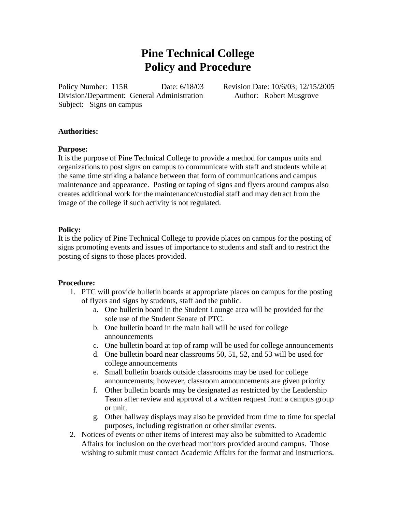# **Pine Technical College Policy and Procedure**

Policy Number: 115R Date: 6/18/03 Revision Date: 10/6/03; 12/15/2005 Division/Department: General Administration Author: Robert Musgrove Subject: Signs on campus

## **Authorities:**

#### **Purpose:**

It is the purpose of Pine Technical College to provide a method for campus units and organizations to post signs on campus to communicate with staff and students while at the same time striking a balance between that form of communications and campus maintenance and appearance. Posting or taping of signs and flyers around campus also creates additional work for the maintenance/custodial staff and may detract from the image of the college if such activity is not regulated.

# **Policy:**

It is the policy of Pine Technical College to provide places on campus for the posting of signs promoting events and issues of importance to students and staff and to restrict the posting of signs to those places provided.

# **Procedure:**

- 1. PTC will provide bulletin boards at appropriate places on campus for the posting of flyers and signs by students, staff and the public.
	- a. One bulletin board in the Student Lounge area will be provided for the sole use of the Student Senate of PTC.
	- b. One bulletin board in the main hall will be used for college announcements
	- c. One bulletin board at top of ramp will be used for college announcements
	- d. One bulletin board near classrooms 50, 51, 52, and 53 will be used for college announcements
	- e. Small bulletin boards outside classrooms may be used for college announcements; however, classroom announcements are given priority
	- f. Other bulletin boards may be designated as restricted by the Leadership Team after review and approval of a written request from a campus group or unit.
	- g. Other hallway displays may also be provided from time to time for special purposes, including registration or other similar events.
- 2. Notices of events or other items of interest may also be submitted to Academic Affairs for inclusion on the overhead monitors provided around campus. Those wishing to submit must contact Academic Affairs for the format and instructions.